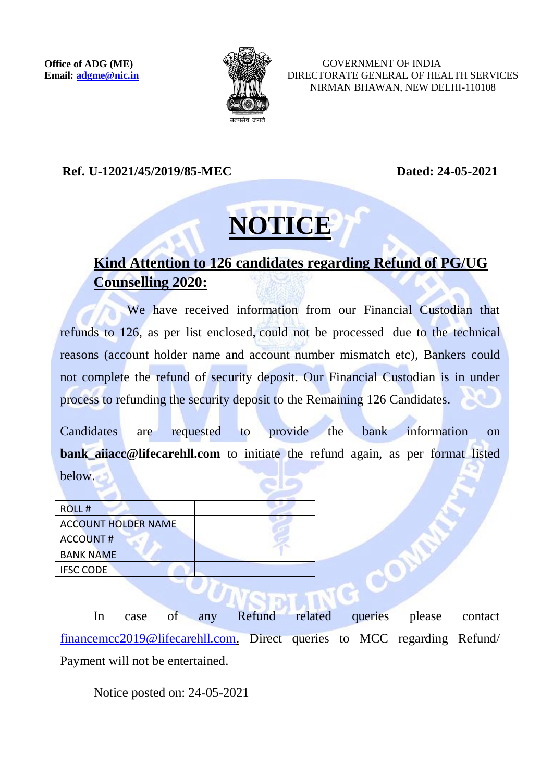

 GOVERNMENT OF INDIA DIRECTORATE GENERAL OF HEALTH SERVICES NIRMAN BHAWAN, NEW DELHI-110108

**Ref. U-12021/45/2019/85-MEC Dated: 24-05-2021**

## **NOTICE**

## **Kind Attention to 126 candidates regarding Refund of PG/UG Counselling 2020:**

We have received information from our Financial Custodian that refunds to 126, as per list enclosed, could not be processed due to the technical reasons (account holder name and account number mismatch etc), Bankers could not complete the refund of security deposit. Our Financial Custodian is in under process to refunding the security deposit to the Remaining 126 Candidates.

Candidates are requested to provide the bank information on **bank\_aiiacc@lifecarehll.com** to initiate the refund again, as per format listed below.

| ROLL#               |  |
|---------------------|--|
| ACCOUNT HOLDER NAME |  |
| ACCOUNT#            |  |
| <b>BANK NAME</b>    |  |
| <b>IFSC CODE</b>    |  |

In case of any Refund related queries please contact [financemcc2019@lifecarehll.com.](mailto:financemcc2019@lifecarehll.com) Direct queries to MCC regarding Refund/ Payment will not be entertained.

Notice posted on: 24-05-2021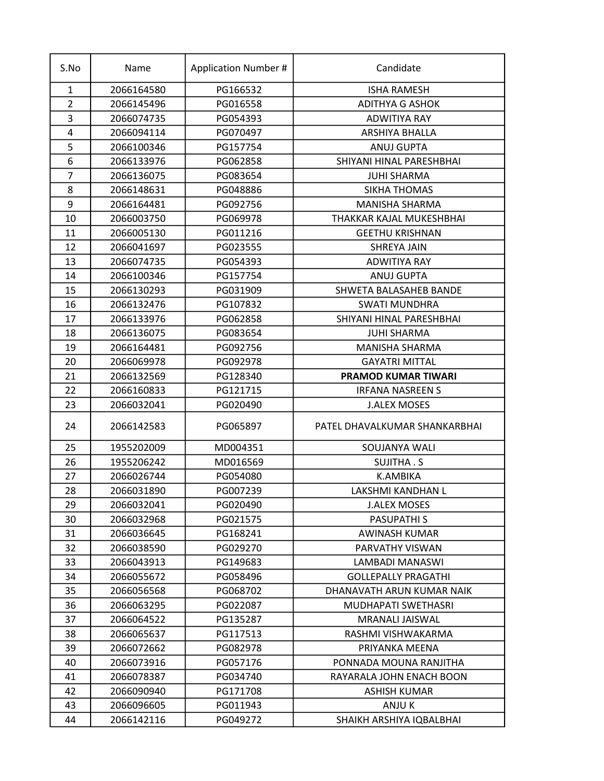| S.No           | Name       | <b>Application Number #</b> | Candidate                     |
|----------------|------------|-----------------------------|-------------------------------|
| $\mathbf{1}$   | 2066164580 | PG166532                    | <b>ISHA RAMESH</b>            |
| $\overline{2}$ | 2066145496 | PG016558                    | <b>ADITHYA G ASHOK</b>        |
| 3              | 2066074735 | PG054393                    | <b>ADWITIYA RAY</b>           |
| 4              | 2066094114 | PG070497                    | ARSHIYA BHALLA                |
| 5              | 2066100346 | PG157754                    | <b>ANUJ GUPTA</b>             |
| 6              | 2066133976 | PG062858                    | SHIYANI HINAL PARESHBHAI      |
| $\overline{7}$ | 2066136075 | PG083654                    | <b>JUHI SHARMA</b>            |
| 8              | 2066148631 | PG048886                    | SIKHA THOMAS                  |
| 9              | 2066164481 | PG092756                    | <b>MANISHA SHARMA</b>         |
| 10             | 2066003750 | PG069978                    | THAKKAR KAJAL MUKESHBHAI      |
| 11             | 2066005130 | PG011216                    | <b>GEETHU KRISHNAN</b>        |
| 12             | 2066041697 | PG023555                    | <b>SHREYA JAIN</b>            |
| 13             | 2066074735 | PG054393                    | <b>ADWITIYA RAY</b>           |
| 14             | 2066100346 | PG157754                    | ANUJ GUPTA                    |
| 15             | 2066130293 | PG031909                    | SHWETA BALASAHEB BANDE        |
| 16             | 2066132476 | PG107832                    | <b>SWATI MUNDHRA</b>          |
| 17             | 2066133976 | PG062858                    | SHIYANI HINAL PARESHBHAI      |
| 18             | 2066136075 | PG083654                    | <b>JUHI SHARMA</b>            |
| 19             | 2066164481 | PG092756                    | MANISHA SHARMA                |
| 20             | 2066069978 | PG092978                    | <b>GAYATRI MITTAL</b>         |
| 21             | 2066132569 | PG128340                    | <b>PRAMOD KUMAR TIWARI</b>    |
| 22             | 2066160833 | PG121715                    | <b>IRFANA NASREEN S</b>       |
| 23             | 2066032041 | PG020490                    | <b>J.ALEX MOSES</b>           |
| 24             | 2066142583 | PG065897                    | PATEL DHAVALKUMAR SHANKARBHAI |
| 25             | 1955202009 | MD004351                    | SOUJANYA WALI                 |
| 26             | 1955206242 | MD016569                    | SUJITHA . S                   |
| 27             | 2066026744 | PG054080                    | <b>K.AMBIKA</b>               |
| 28             | 2066031890 | PG007239                    | LAKSHMI KANDHAN L             |
| 29             | 2066032041 | PG020490                    | <b>J.ALEX MOSES</b>           |
| 30             | 2066032968 | PG021575                    | <b>PASUPATHIS</b>             |
| 31             | 2066036645 | PG168241                    | AWINASH KUMAR                 |
| 32             | 2066038590 | PG029270                    | PARVATHY VISWAN               |
| 33             | 2066043913 | PG149683                    | LAMBADI MANASWI               |
| 34             | 2066055672 | PG058496                    | <b>GOLLEPALLY PRAGATHI</b>    |
| 35             | 2066056568 | PG068702                    | DHANAVATH ARUN KUMAR NAIK     |
| 36             | 2066063295 | PG022087                    | MUDHAPATI SWETHASRI           |
| 37             | 2066064522 | PG135287                    | MRANALI JAISWAL               |
| 38             | 2066065637 | PG117513                    | RASHMI VISHWAKARMA            |
| 39             | 2066072662 | PG082978                    | PRIYANKA MEENA                |
| 40             | 2066073916 | PG057176                    | PONNADA MOUNA RANJITHA        |
| 41             | 2066078387 | PG034740                    | RAYARALA JOHN ENACH BOON      |
| 42             | 2066090940 | PG171708                    | <b>ASHISH KUMAR</b>           |
| 43             | 2066096605 | PG011943                    | ANJU K                        |
| 44             | 2066142116 | PG049272                    | SHAIKH ARSHIYA IQBALBHAI      |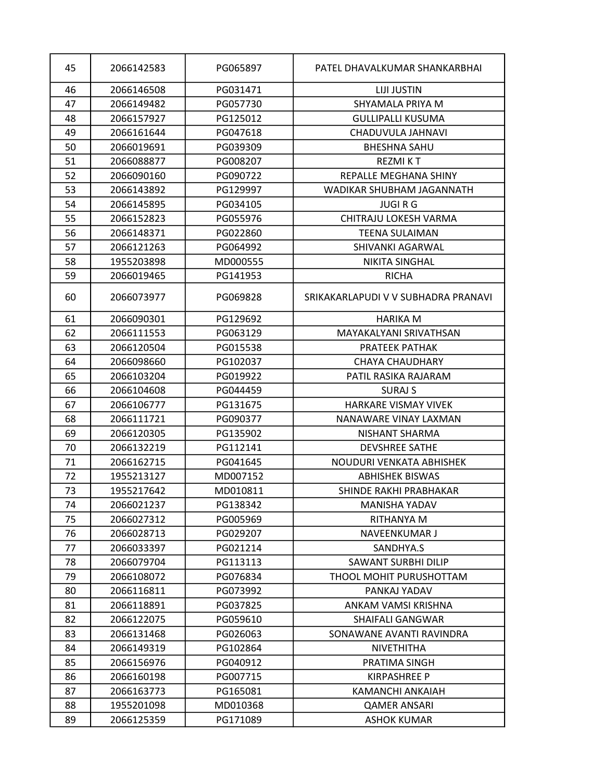| 45 | 2066142583 | PG065897 | PATEL DHAVALKUMAR SHANKARBHAI       |
|----|------------|----------|-------------------------------------|
| 46 | 2066146508 | PG031471 | <b>LIJI JUSTIN</b>                  |
| 47 | 2066149482 | PG057730 | SHYAMALA PRIYA M                    |
| 48 | 2066157927 | PG125012 | <b>GULLIPALLI KUSUMA</b>            |
| 49 | 2066161644 | PG047618 | CHADUVULA JAHNAVI                   |
| 50 | 2066019691 | PG039309 | <b>BHESHNA SAHU</b>                 |
| 51 | 2066088877 | PG008207 | <b>REZMIKT</b>                      |
| 52 | 2066090160 | PG090722 | REPALLE MEGHANA SHINY               |
| 53 | 2066143892 | PG129997 | WADIKAR SHUBHAM JAGANNATH           |
| 54 | 2066145895 | PG034105 | <b>JUGIRG</b>                       |
| 55 | 2066152823 | PG055976 | CHITRAJU LOKESH VARMA               |
| 56 | 2066148371 | PG022860 | <b>TEENA SULAIMAN</b>               |
| 57 | 2066121263 | PG064992 | SHIVANKI AGARWAL                    |
| 58 | 1955203898 | MD000555 | <b>NIKITA SINGHAL</b>               |
| 59 | 2066019465 | PG141953 | <b>RICHA</b>                        |
| 60 | 2066073977 | PG069828 | SRIKAKARLAPUDI V V SUBHADRA PRANAVI |
| 61 | 2066090301 | PG129692 | <b>HARIKA M</b>                     |
| 62 | 2066111553 | PG063129 | MAYAKALYANI SRIVATHSAN              |
| 63 | 2066120504 | PG015538 | PRATEEK PATHAK                      |
| 64 | 2066098660 | PG102037 | <b>CHAYA CHAUDHARY</b>              |
| 65 | 2066103204 | PG019922 | PATIL RASIKA RAJARAM                |
| 66 | 2066104608 | PG044459 | <b>SURAJ S</b>                      |
| 67 | 2066106777 | PG131675 | <b>HARKARE VISMAY VIVEK</b>         |
| 68 | 2066111721 | PG090377 | NANAWARE VINAY LAXMAN               |
| 69 | 2066120305 | PG135902 | NISHANT SHARMA                      |
| 70 | 2066132219 | PG112141 | <b>DEVSHREE SATHE</b>               |
| 71 | 2066162715 | PG041645 | NOUDURI VENKATA ABHISHEK            |
| 72 | 1955213127 | MD007152 | <b>ABHISHEK BISWAS</b>              |
| 73 | 1955217642 | MD010811 | SHINDE RAKHI PRABHAKAR              |
| 74 | 2066021237 | PG138342 | MANISHA YADAV                       |
| 75 | 2066027312 | PG005969 | RITHANYA M                          |
| 76 | 2066028713 | PG029207 | NAVEENKUMAR J                       |
| 77 | 2066033397 | PG021214 | SANDHYA.S                           |
| 78 | 2066079704 | PG113113 | <b>SAWANT SURBHI DILIP</b>          |
| 79 | 2066108072 | PG076834 | THOOL MOHIT PURUSHOTTAM             |
| 80 | 2066116811 | PG073992 | PANKAJ YADAV                        |
| 81 | 2066118891 | PG037825 | ANKAM VAMSI KRISHNA                 |
| 82 | 2066122075 | PG059610 | <b>SHAIFALI GANGWAR</b>             |
| 83 | 2066131468 | PG026063 | SONAWANE AVANTI RAVINDRA            |
| 84 | 2066149319 | PG102864 | <b>NIVETHITHA</b>                   |
| 85 | 2066156976 | PG040912 | PRATIMA SINGH                       |
| 86 | 2066160198 | PG007715 | KIRPASHREE P                        |
| 87 | 2066163773 | PG165081 | KAMANCHI ANKAIAH                    |
| 88 | 1955201098 | MD010368 | <b>QAMER ANSARI</b>                 |
| 89 | 2066125359 | PG171089 | <b>ASHOK KUMAR</b>                  |